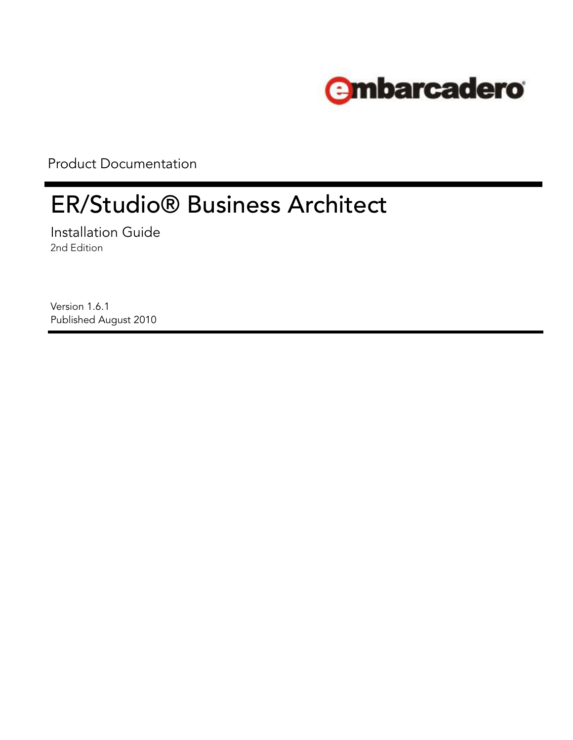

Product Documentation

# ER/Studio® Business Architect

Installation Guide 2nd Edition

Version 1.6.1 Published August 2010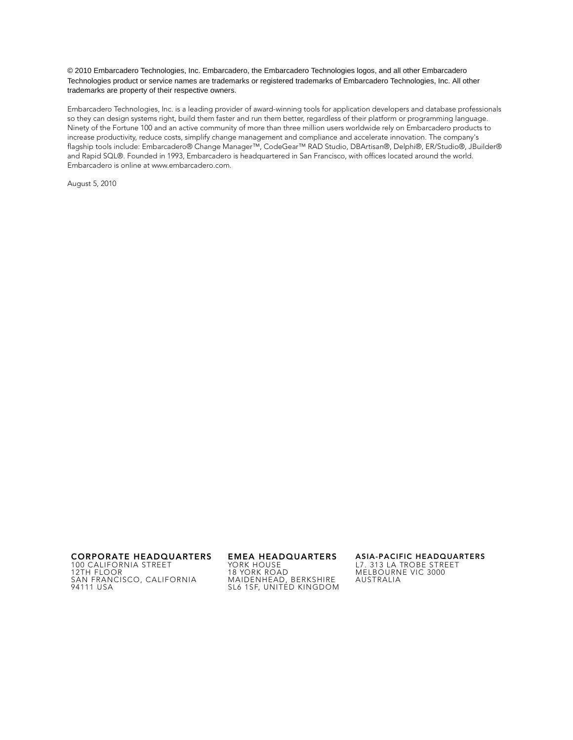© 2010 Embarcadero Technologies, Inc. Embarcadero, the Embarcadero Technologies logos, and all other Embarcadero Technologies product or service names are trademarks or registered trademarks of Embarcadero Technologies, Inc. All other trademarks are property of their respective owners.

Embarcadero Technologies, Inc. is a leading provider of award-winning tools for application developers and database professionals so they can design systems right, build them faster and run them better, regardless of their platform or programming language. Ninety of the Fortune 100 and an active community of more than three million users worldwide rely on Embarcadero products to increase productivity, reduce costs, simplify change management and compliance and accelerate innovation. The company's flagship tools include: Embarcadero® Change Manager™, CodeGear™ RAD Studio, DBArtisan®, Delphi®, ER/Studio®, JBuilder® and Rapid SQL®. Founded in 1993, Embarcadero is headquartered in San Francisco, with offices located around the world. Embarcadero is online at www.embarcadero.com.

August 5, 2010

**CORPORATE HEADQUARTERS EMEA HEADQUARTERS ASIA-PACIFIC HEADQUARTERS** 100 CALIFORNIA STREET 12TH FLOOR SAN FRANCISCO, CALIFORNIA 94111 USA

YORK HOUSE 18 YORK ROAD MAIDENHEAD, BERKSHIRE SL6 1SF, UNITED KINGDOM

L7. 313 LA TROBE STREET

MELBOURNE VIC 3000 AUSTRALIA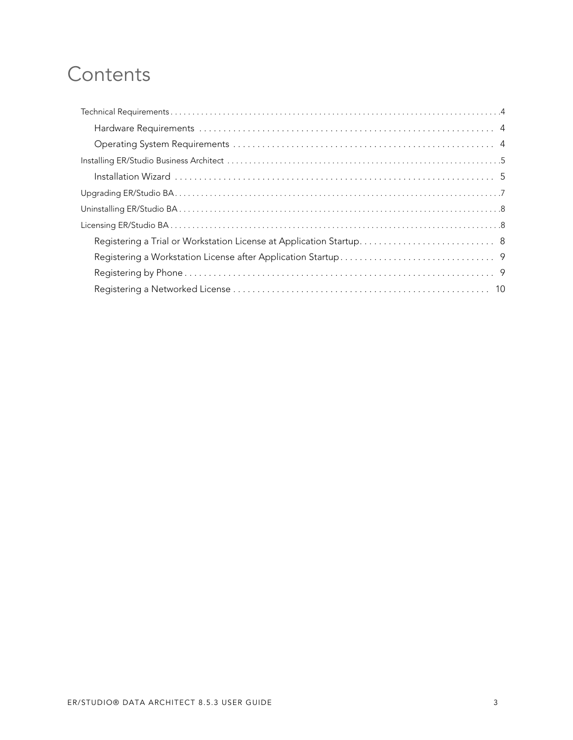# **Contents**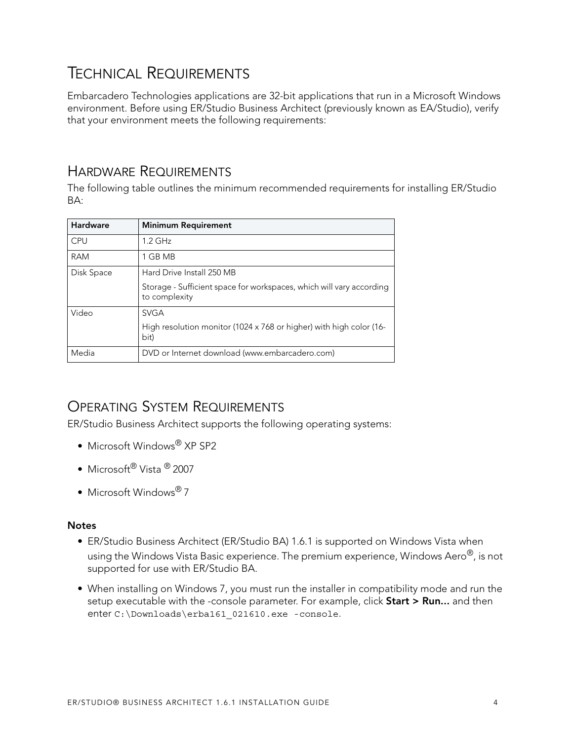# <span id="page-3-0"></span>TECHNICAL REQUIREMENTS

Embarcadero Technologies applications are 32-bit applications that run in a Microsoft Windows environment. Before using ER/Studio Business Architect (previously known as EA/Studio), verify that your environment meets the following requirements:

### <span id="page-3-1"></span>HARDWARE REQUIREMENTS

The following table outlines the minimum recommended requirements for installing ER/Studio BA:

| Hardware   | <b>Minimum Requirement</b>                                                            |
|------------|---------------------------------------------------------------------------------------|
| CPU        | $1.2$ GHz                                                                             |
| <b>RAM</b> | 1 GB MB                                                                               |
| Disk Space | Hard Drive Install 250 MB                                                             |
|            | Storage - Sufficient space for workspaces, which will vary according<br>to complexity |
| Video      | <b>SVGA</b>                                                                           |
|            | High resolution monitor (1024 x 768 or higher) with high color (16-<br>bit)           |
| Media      | DVD or Internet download (www.embarcadero.com)                                        |

## <span id="page-3-2"></span>OPERATING SYSTEM REQUIREMENTS

ER/Studio Business Architect supports the following operating systems:

- Microsoft Windows<sup>®</sup> XP SP2
- Microsoft<sup>®</sup> Vista <sup>®</sup> 2007
- Microsoft Windows® 7

#### **Notes**

- ER/Studio Business Architect (ER/Studio BA) 1.6.1 is supported on Windows Vista when using the Windows Vista Basic experience. The premium experience, Windows Aero®, is not supported for use with ER/Studio BA.
- When installing on Windows 7, you must run the installer in compatibility mode and run the setup executable with the -console parameter. For example, click **Start > Run...** and then enter C:\Downloads\erba161\_021610.exe -console.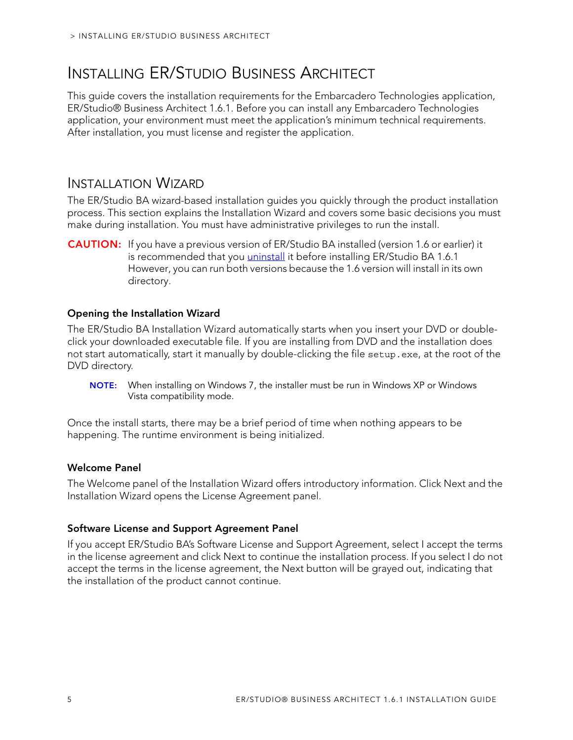# <span id="page-4-0"></span>INSTALLING ER/STUDIO BUSINESS ARCHITECT

This guide covers the installation requirements for the Embarcadero Technologies application, ER/Studio® Business Architect 1.6.1. Before you can install any Embarcadero Technologies application, your environment must meet the application's minimum technical requirements. After installation, you must license and register the application.

### <span id="page-4-1"></span>INSTALLATION WIZARD

The ER/Studio BA wizard-based installation guides you quickly through the product installation process. This section explains the Installation Wizard and covers some basic decisions you must make during installation. You must have administrative privileges to run the install.

**CAUTION:** If you have a previous version of ER/Studio BA installed (version 1.6 or earlier) it is recommended that you *uninstall* it before installing ER/Studio BA 1.6.1 However, you can run both versions because the 1.6 version will install in its own directory.

#### **Opening the Installation Wizard**

The ER/Studio BA Installation Wizard automatically starts when you insert your DVD or doubleclick your downloaded executable file. If you are installing from DVD and the installation does not start automatically, start it manually by double-clicking the file setup.exe, at the root of the DVD directory.

**NOTE:** When installing on Windows 7, the installer must be run in Windows XP or Windows Vista compatibility mode.

Once the install starts, there may be a brief period of time when nothing appears to be happening. The runtime environment is being initialized.

#### **Welcome Panel**

The Welcome panel of the Installation Wizard offers introductory information. Click Next and the Installation Wizard opens the License Agreement panel.

#### **Software License and Support Agreement Panel**

If you accept ER/Studio BA's Software License and Support Agreement, select I accept the terms in the license agreement and click Next to continue the installation process. If you select I do not accept the terms in the license agreement, the Next button will be grayed out, indicating that the installation of the product cannot continue.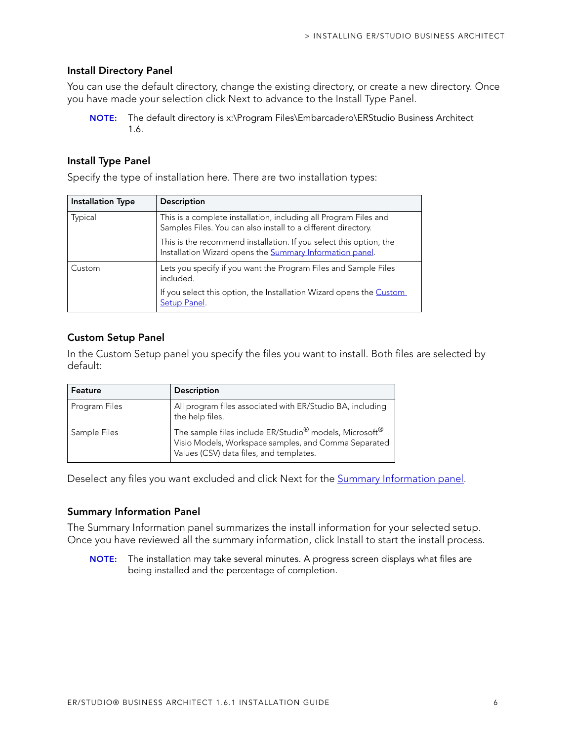#### **Install Directory Panel**

You can use the default directory, change the existing directory, or create a new directory. Once you have made your selection click Next to advance to the Install Type Panel.

**NOTE:** The default directory is x:\Program Files\Embarcadero\ERStudio Business Architect 1.6.

#### **Install Type Panel**

Specify the type of installation here. There are two installation types:

| <b>Installation Type</b> | Description                                                                                                                       |
|--------------------------|-----------------------------------------------------------------------------------------------------------------------------------|
| Typical                  | This is a complete installation, including all Program Files and<br>Samples Files. You can also install to a different directory. |
|                          | This is the recommend installation. If you select this option, the<br>Installation Wizard opens the Summary Information panel.    |
| Custom                   | Lets you specify if you want the Program Files and Sample Files<br>included.                                                      |
|                          | If you select this option, the Installation Wizard opens the Custom<br>Setup Panel.                                               |

#### **Custom Setup Panel**

In the Custom Setup panel you specify the files you want to install. Both files are selected by default:

| Feature       | <b>Description</b>                                                                                                                                                                |
|---------------|-----------------------------------------------------------------------------------------------------------------------------------------------------------------------------------|
| Program Files | All program files associated with ER/Studio BA, including<br>the help files.                                                                                                      |
| Sample Files  | The sample files include ER/Studio <sup>®</sup> models, Microsoft <sup>®</sup><br>Visio Models, Workspace samples, and Comma Separated<br>Values (CSV) data files, and templates. |

Deselect any files you want excluded and click Next for the **Summary Information panel**.

#### **Summary Information Panel**

The Summary Information panel summarizes the install information for your selected setup. Once you have reviewed all the summary information, click Install to start the install process.

**NOTE:** The installation may take several minutes. A progress screen displays what files are being installed and the percentage of completion.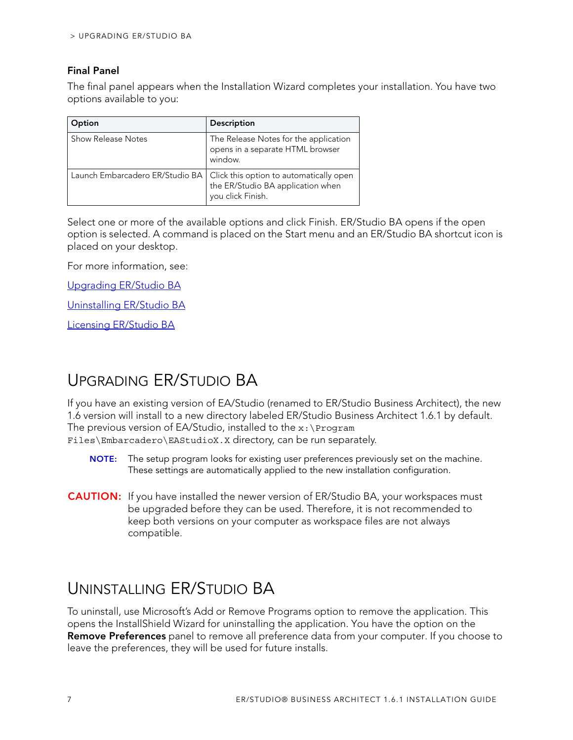#### **Final Panel**

The final panel appears when the Installation Wizard completes your installation. You have two options available to you:

| Option             | Description                                                                                                                         |
|--------------------|-------------------------------------------------------------------------------------------------------------------------------------|
| Show Release Notes | The Release Notes for the application<br>opens in a separate HTML browser<br>window.                                                |
|                    | Launch Embarcadero ER/Studio BA   Click this option to automatically open<br>the ER/Studio BA application when<br>you click Finish. |

Select one or more of the available options and click Finish. ER/Studio BA opens if the open option is selected. A command is placed on the Start menu and an ER/Studio BA shortcut icon is placed on your desktop.

For more information, see:

[Upgrading ER/Studio BA](#page-6-0)

[Uninstalling ER/Studio BA](#page-6-1)

[Licensing ER/Studio BA](#page-7-0)

# <span id="page-6-0"></span>UPGRADING ER/STUDIO BA

If you have an existing version of EA/Studio (renamed to ER/Studio Business Architect), the new 1.6 version will install to a new directory labeled ER/Studio Business Architect 1.6.1 by default. The previous version of EA/Studio, installed to the  $x:\P$  program Files\Embarcadero\EAStudioX.X directory, can be run separately.

- **NOTE:** The setup program looks for existing user preferences previously set on the machine. These settings are automatically applied to the new installation configuration.
- **CAUTION:** If you have installed the newer version of ER/Studio BA, your workspaces must be upgraded before they can be used. Therefore, it is not recommended to keep both versions on your computer as workspace files are not always compatible.

# <span id="page-6-1"></span>UNINSTALLING ER/STUDIO BA

To uninstall, use Microsoft's Add or Remove Programs option to remove the application. This opens the InstallShield Wizard for uninstalling the application. You have the option on the **Remove Preferences** panel to remove all preference data from your computer. If you choose to leave the preferences, they will be used for future installs.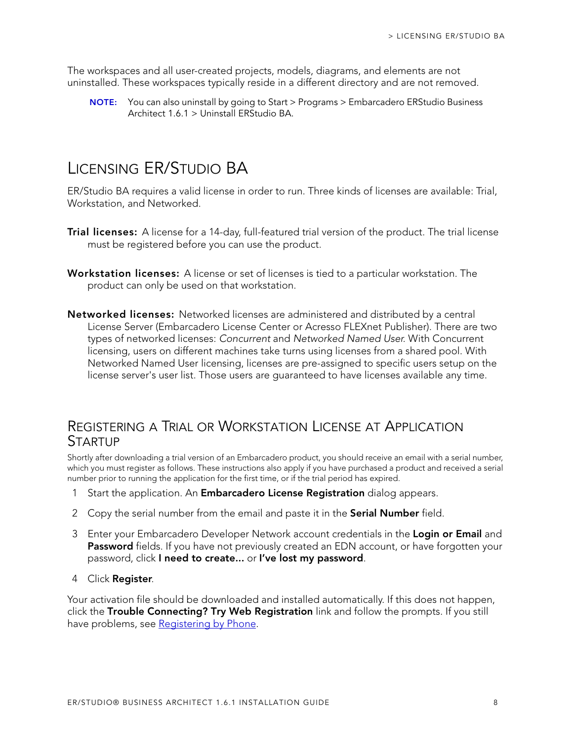The workspaces and all user-created projects, models, diagrams, and elements are not uninstalled. These workspaces typically reside in a different directory and are not removed.

**NOTE:** You can also uninstall by going to Start > Programs > Embarcadero ERStudio Business Architect 1.6.1 > Uninstall ERStudio BA.

# <span id="page-7-0"></span>LICENSING ER/STUDIO BA

ER/Studio BA requires a valid license in order to run. Three kinds of licenses are available: Trial, Workstation, and Networked.

- **Trial licenses:** A license for a 14-day, full-featured trial version of the product. The trial license must be registered before you can use the product.
- **Workstation licenses:** A license or set of licenses is tied to a particular workstation. The product can only be used on that workstation.
- **Networked licenses:** Networked licenses are administered and distributed by a central License Server (Embarcadero License Center or Acresso FLEXnet Publisher). There are two types of networked licenses: Concurrent and Networked Named User. With Concurrent licensing, users on different machines take turns using licenses from a shared pool. With Networked Named User licensing, licenses are pre-assigned to specific users setup on the license server's user list. Those users are guaranteed to have licenses available any time.

### <span id="page-7-1"></span>REGISTERING A TRIAL OR WORKSTATION LICENSE AT APPLICATION **STARTUP**

Shortly after downloading a trial version of an Embarcadero product, you should receive an email with a serial number, which you must register as follows. These instructions also apply if you have purchased a product and received a serial number prior to running the application for the first time, or if the trial period has expired.

- 1 Start the application. An **Embarcadero License Registration** dialog appears.
- 2 Copy the serial number from the email and paste it in the **Serial Number** field.
- 3 Enter your Embarcadero Developer Network account credentials in the **Login or Email** and **Password** fields. If you have not previously created an EDN account, or have forgotten your password, click **I need to create...** or **I've lost my password**.
- 4 Click **Register**.

Your activation file should be downloaded and installed automatically. If this does not happen, click the **Trouble Connecting? Try Web Registration** link and follow the prompts. If you still have problems, see [Registering by Phone.](#page-8-1)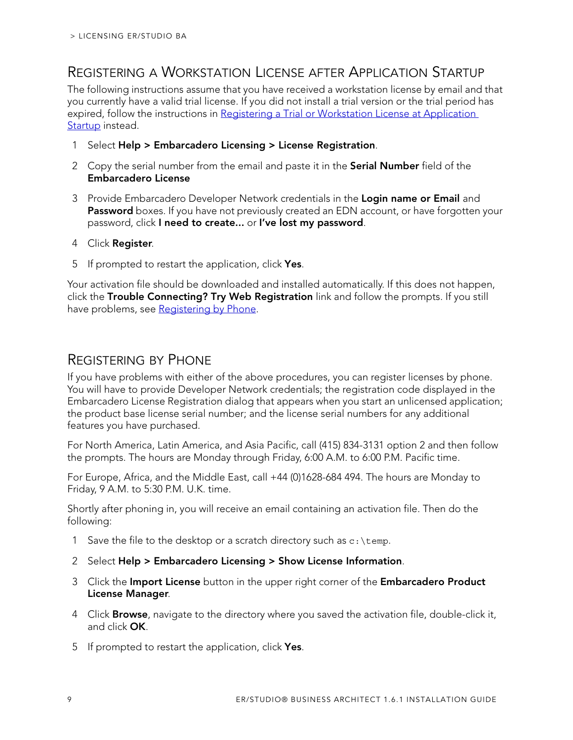### <span id="page-8-0"></span>REGISTERING A WORKSTATION LICENSE AFTER APPLICATION STARTUP

The following instructions assume that you have received a workstation license by email and that you currently have a valid trial license. If you did not install a trial version or the trial period has expired, follow the instructions in Registering a Trial or Workstation License at Application [Startup](#page-7-1) instead.

- 1 Select **Help > Embarcadero Licensing > License Registration**.
- 2 Copy the serial number from the email and paste it in the **Serial Number** field of the **Embarcadero License**
- 3 Provide Embarcadero Developer Network credentials in the **Login name or Email** and Password boxes. If you have not previously created an EDN account, or have forgotten your password, click **I need to create...** or **I've lost my password**.
- 4 Click **Register**.
- 5 If prompted to restart the application, click **Yes**.

Your activation file should be downloaded and installed automatically. If this does not happen, click the **Trouble Connecting? Try Web Registration** link and follow the prompts. If you still have problems, see [Registering by Phone.](#page-8-1)

### <span id="page-8-1"></span>REGISTERING BY PHONE

If you have problems with either of the above procedures, you can register licenses by phone. You will have to provide Developer Network credentials; the registration code displayed in the Embarcadero License Registration dialog that appears when you start an unlicensed application; the product base license serial number; and the license serial numbers for any additional features you have purchased.

For North America, Latin America, and Asia Pacific, call (415) 834-3131 option 2 and then follow the prompts. The hours are Monday through Friday, 6:00 A.M. to 6:00 P.M. Pacific time.

For Europe, Africa, and the Middle East, call +44 (0)1628-684 494. The hours are Monday to Friday, 9 A.M. to 5:30 P.M. U.K. time.

Shortly after phoning in, you will receive an email containing an activation file. Then do the following:

- 1 Save the file to the desktop or a scratch directory such as  $c:\temp$ .
- 2 Select **Help > Embarcadero Licensing > Show License Information**.
- 3 Click the **Import License** button in the upper right corner of the **Embarcadero Product License Manager**.
- 4 Click **Browse**, navigate to the directory where you saved the activation file, double-click it, and click **OK**.
- 5 If prompted to restart the application, click **Yes**.